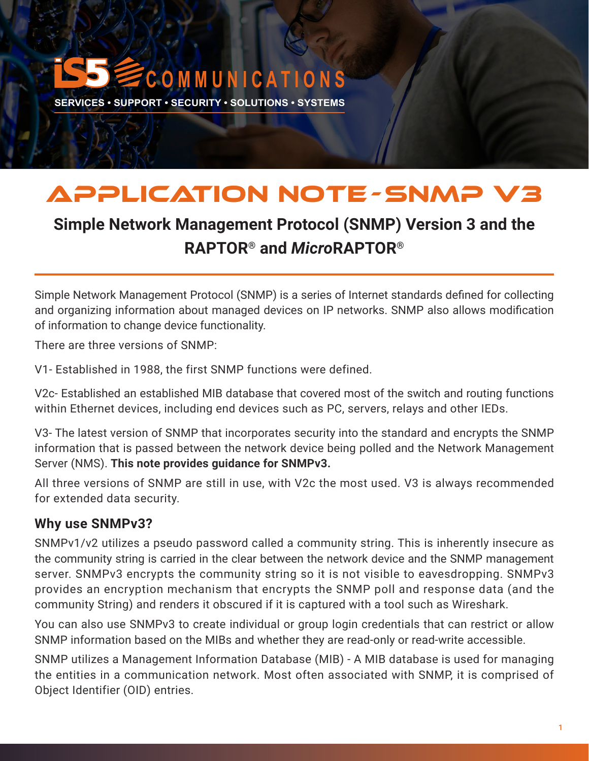# **C O M M U N I C A T I O N S**

**SERVICES • SUPPORT • SECURITY • SOLUTIONS • SYSTEMS** 

### APPLICATION NOTE -SNMP V3

### **Simple Network Management Protocol (SNMP) Version 3 and the RAPTOR**® **and** *Micro***RAPTOR**®

Simple Network Management Protocol (SNMP) is a series of Internet standards defined for collecting and organizing information about managed devices on IP networks. SNMP also allows modification of information to change device functionality.

There are three versions of SNMP:

V1- Established in 1988, the first SNMP functions were defined.

V2c- Established an established MIB database that covered most of the switch and routing functions within Ethernet devices, including end devices such as PC, servers, relays and other IEDs.

V3- The latest version of SNMP that incorporates security into the standard and encrypts the SNMP information that is passed between the network device being polled and the Network Management Server (NMS). **This note provides guidance for SNMPv3.** 

All three versions of SNMP are still in use, with V2c the most used. V3 is always recommended for extended data security.

#### **Why use SNMPv3?**

SNMPv1/v2 utilizes a pseudo password called a community string. This is inherently insecure as the community string is carried in the clear between the network device and the SNMP management server. SNMPv3 encrypts the community string so it is not visible to eavesdropping. SNMPv3 provides an encryption mechanism that encrypts the SNMP poll and response data (and the community String) and renders it obscured if it is captured with a tool such as Wireshark.

You can also use SNMPv3 to create individual or group login credentials that can restrict or allow SNMP information based on the MIBs and whether they are read-only or read-write accessible.

SNMP utilizes a Management Information Database (MIB) - A MIB database is used for managing the entities in a communication network. Most often associated with SNMP, it is comprised of Object Identifier (OID) entries.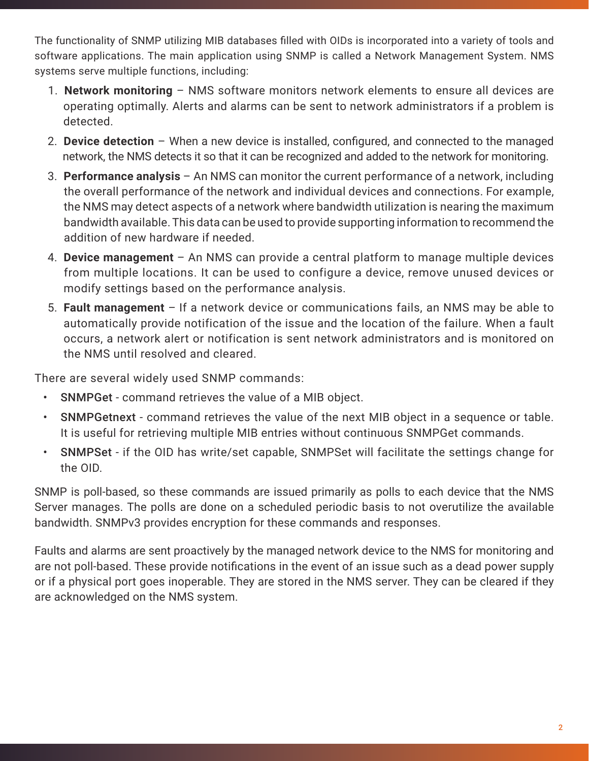The functionality of SNMP utilizing MIB databases filled with OIDs is incorporated into a variety of tools and software applications. The main application using SNMP is called a Network Management System. NMS systems serve multiple functions, including:

- 1. **Network monitoring** NMS software monitors network elements to ensure all devices are operating optimally. Alerts and alarms can be sent to network administrators if a problem is detected.
- 2. **Device detection**  When a new device is installed, configured, and connected to the managed network, the NMS detects it so that it can be recognized and added to the network for monitoring.
- 3. **Performance analysis**  An NMS can monitor the current performance of a network, including the overall performance of the network and individual devices and connections. For example, the NMS may detect aspects of a network where bandwidth utilization is nearing the maximum bandwidth available. This data can be used to provide supporting information to recommend the addition of new hardware if needed.
- 4. **Device management**  An NMS can provide a central platform to manage multiple devices from multiple locations. It can be used to configure a device, remove unused devices or modify settings based on the performance analysis.
- 5. **Fault management**  If a network device or communications fails, an NMS may be able to automatically provide notification of the issue and the location of the failure. When a fault occurs, a network alert or notification is sent network administrators and is monitored on the NMS until resolved and cleared.

There are several widely used SNMP commands:

- SNMPGet command retrieves the value of a MIB object.
- SNMPGetnext command retrieves the value of the next MIB object in a sequence or table. It is useful for retrieving multiple MIB entries without continuous SNMPGet commands.
- SNMPSet if the OID has write/set capable, SNMPSet will facilitate the settings change for the OID.

SNMP is poll-based, so these commands are issued primarily as polls to each device that the NMS Server manages. The polls are done on a scheduled periodic basis to not overutilize the available bandwidth. SNMPv3 provides encryption for these commands and responses.

Faults and alarms are sent proactively by the managed network device to the NMS for monitoring and are not poll-based. These provide notifications in the event of an issue such as a dead power supply or if a physical port goes inoperable. They are stored in the NMS server. They can be cleared if they are acknowledged on the NMS system.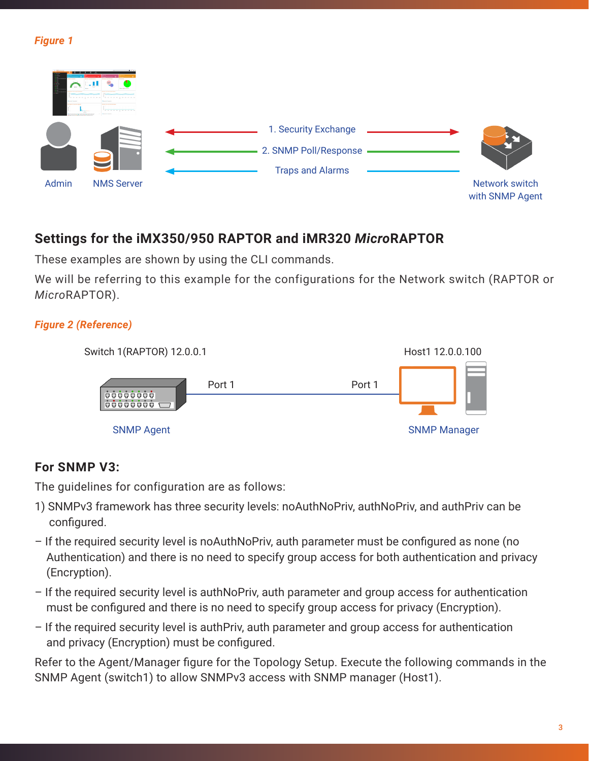#### *Figure 1*



#### **Settings for the iMX350/950 RAPTOR and iMR320** *Micro***RAPTOR**

These examples are shown by using the CLI commands.

We will be referring to this example for the configurations for the Network switch (RAPTOR or *Micro*RAPTOR).

#### *Figure 2 (Reference)*



#### **For SNMP V3:**

The guidelines for configuration are as follows:

- 1) SNMPv3 framework has three security levels: noAuthNoPriv, authNoPriv, and authPriv can be configured.
- If the required security level is noAuthNoPriv, auth parameter must be configured as none (no Authentication) and there is no need to specify group access for both authentication and privacy (Encryption).
- If the required security level is authNoPriv, auth parameter and group access for authentication must be configured and there is no need to specify group access for privacy (Encryption).
- If the required security level is authPriv, auth parameter and group access for authentication and privacy (Encryption) must be configured.

Refer to the Agent/Manager figure for the Topology Setup. Execute the following commands in the SNMP Agent (switch1) to allow SNMPv3 access with SNMP manager (Host1).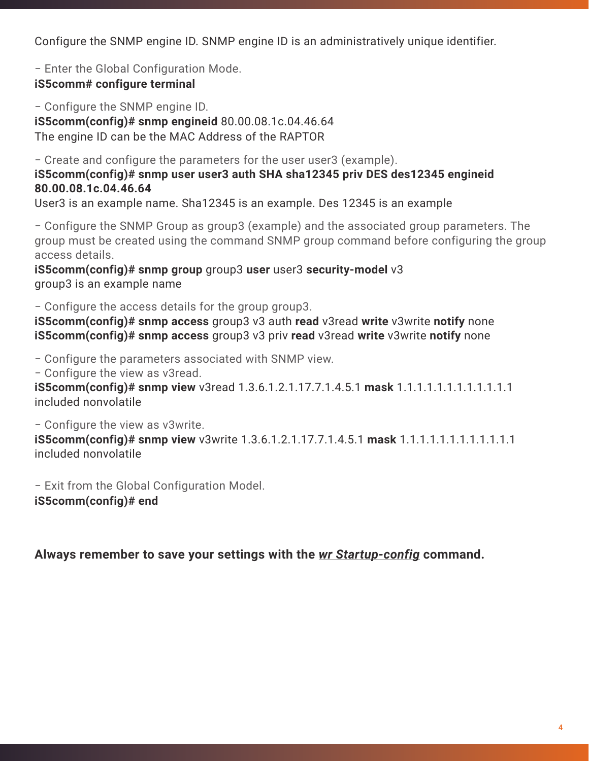Configure the SNMP engine ID. SNMP engine ID is an administratively unique identifier.

− Enter the Global Configuration Mode. **iS5comm# configure terminal**

− Configure the SNMP engine ID. **iS5comm(config)# snmp engineid** 80.00.08.1c.04.46.64 The engine ID can be the MAC Address of the RAPTOR

− Create and configure the parameters for the user user3 (example). **iS5comm(config)# snmp user user3 auth SHA sha12345 priv DES des12345 engineid 80.00.08.1c.04.46.64** User3 is an example name. Sha12345 is an example. Des 12345 is an example

− Configure the SNMP Group as group3 (example) and the associated group parameters. The group must be created using the command SNMP group command before configuring the group access details.

**iS5comm(config)# snmp group** group3 user user3 security-model v3 group3 is an example name

− Configure the access details for the group group3.

**iS5comm(config)# snmp access** group3 v3 auth **read** v3read **write** v3write **notify** none **iS5comm(config)# snmp access** group3 v3 priv **read** v3read **write** v3write **notify** none

− Configure the parameters associated with SNMP view.

− Configure the view as v3read.

**iS5comm(config)# snmp view** v3read 1.3.6.1.2.1.17.7.1.4.5.1 **mask** 1.1.1.1.1.1.1.1.1.1.1.1 included nonvolatile

− Configure the view as v3write.

**iS5comm(config)# snmp view** v3write 1.3.6.1.2.1.17.7.1.4.5.1 **mask** 1.1.1.1.1.1.1.1.1.1.1.1 included nonvolatile

− Exit from the Global Configuration Model.

**iS5comm(config)# end**

**Always remember to save your settings with the** *wr Startup-config* **command.**